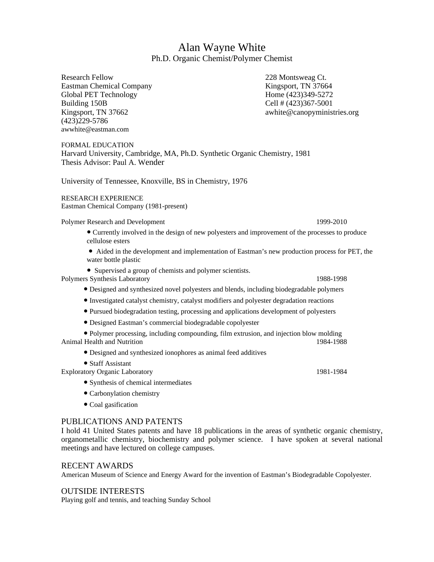# Alan Wayne White Ph.D. Organic Chemist/Polymer Chemist

Research Fellow 228 Montsweag Ct. Eastman Chemical Company Kingsport, TN 37664 Global PET Technology Home (423)349-5272 Building 150B Cell # (423)367-5001 (423)229-5786 [awwhite](mailto:awwhite@eastman.com)@eastm[an.](mailto:awwhite@eastman.com)c[om](mailto:awwhite@eastman.com)

Kingsport, TN 37662 awhite @canopyministries.org

FORMAL EDUCATION Harvard University, Cambridge, MA, Ph.D. Synthetic Organic Chemistry, 1981 Thesis Advisor: Paul A. Wender

University of Tennessee, Knoxville, BS in Chemistry, 1976

RESEARCH EXPERIENCE Eastman Chemical Company (1981-present)

Polymer Research and Development 1999-2010

- Currently involved in the design of new polyesters and improvement of the processes to produce cellulose esters
- Aided in the development and implementation of Eastman's new production process for PET, the water bottle plastic
- Supervised a group of chemists and polymer scientists.

Polymers Synthesis Laboratory 1988-1998

- Designed and synthesized novel polyesters and blends, including biodegradable polymers
- Investigated catalyst chemistry, catalyst modifiers and polyester degradation reactions
- Pursued biodegradation testing, processing and applications development of polyesters
- Designed Eastman's commercial biodegradable copolyester

● Polymer processing, including compounding, film extrusion, and injection blow molding Animal Health and Nutrition 1984-1988

- Designed and synthesized ionophores as animal feed additives
- Staff Assistant Exploratory Organic Laboratory 1981-1984 ● Synthesis of chemical intermediates
	- Carbonylation chemistry
	- Coal gasification

### PUBLICATIONS AND PATENTS

I hold 41 United States patents and have 18 publications in the areas of synthetic organic chemistry, organometallic chemistry, biochemistry and polymer science. I have spoken at several national meetings and have lectured on college campuses.

#### RECENT AWARDS

American Museum of Science and Energy Award for the invention of Eastman's Biodegradable Copolyester.

#### OUTSIDE INTERESTS

Playing golf and tennis, and teaching Sunday School